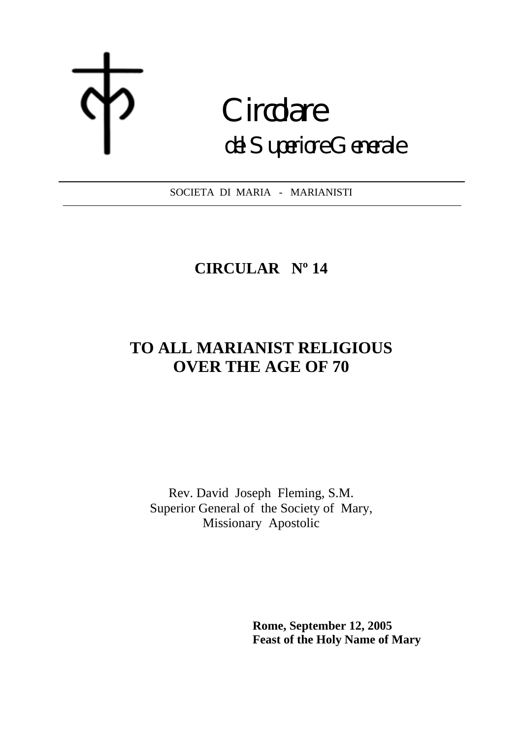# **Circolare** del Superiore Generale

SOCIETA DI MARIA - MARIANISTI

## **CIRCULAR Nº 14**

## **TO ALL MARIANIST RELIGIOUS OVER THE AGE OF 70**

Rev. David Joseph Fleming, S.M. Superior General of the Society of Mary, Missionary Apostolic

> **Rome, September 12, 2005 Feast of the Holy Name of Mary**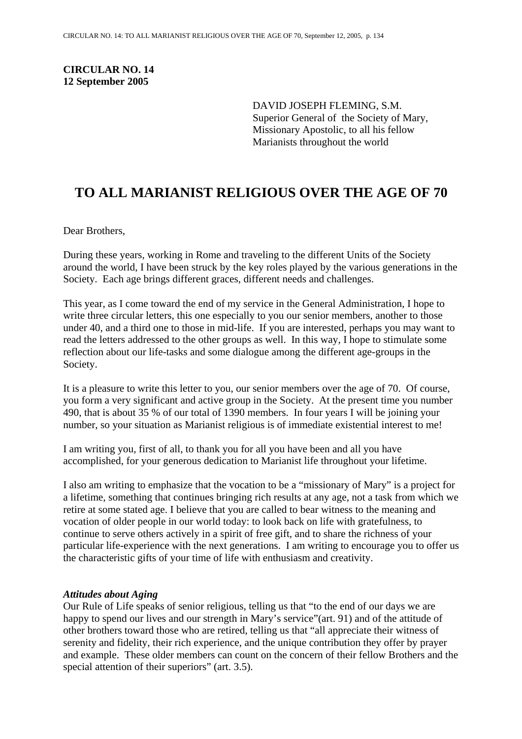**CIRCULAR NO. 14 12 September 2005** 

> DAVID JOSEPH FLEMING, S.M. Superior General of the Society of Mary, Missionary Apostolic, to all his fellow Marianists throughout the world

### **TO ALL MARIANIST RELIGIOUS OVER THE AGE OF 70**

Dear Brothers,

During these years, working in Rome and traveling to the different Units of the Society around the world, I have been struck by the key roles played by the various generations in the Society. Each age brings different graces, different needs and challenges.

This year, as I come toward the end of my service in the General Administration, I hope to write three circular letters, this one especially to you our senior members, another to those under 40, and a third one to those in mid-life. If you are interested, perhaps you may want to read the letters addressed to the other groups as well. In this way, I hope to stimulate some reflection about our life-tasks and some dialogue among the different age-groups in the Society.

It is a pleasure to write this letter to you, our senior members over the age of 70. Of course, you form a very significant and active group in the Society. At the present time you number 490, that is about 35 % of our total of 1390 members. In four years I will be joining your number, so your situation as Marianist religious is of immediate existential interest to me!

I am writing you, first of all, to thank you for all you have been and all you have accomplished, for your generous dedication to Marianist life throughout your lifetime.

I also am writing to emphasize that the vocation to be a "missionary of Mary" is a project for a lifetime, something that continues bringing rich results at any age, not a task from which we retire at some stated age. I believe that you are called to bear witness to the meaning and vocation of older people in our world today: to look back on life with gratefulness, to continue to serve others actively in a spirit of free gift, and to share the richness of your particular life-experience with the next generations. I am writing to encourage you to offer us the characteristic gifts of your time of life with enthusiasm and creativity.

#### *Attitudes about Aging*

Our Rule of Life speaks of senior religious, telling us that "to the end of our days we are happy to spend our lives and our strength in Mary's service"(art. 91) and of the attitude of other brothers toward those who are retired, telling us that "all appreciate their witness of serenity and fidelity, their rich experience, and the unique contribution they offer by prayer and example. These older members can count on the concern of their fellow Brothers and the special attention of their superiors" (art. 3.5).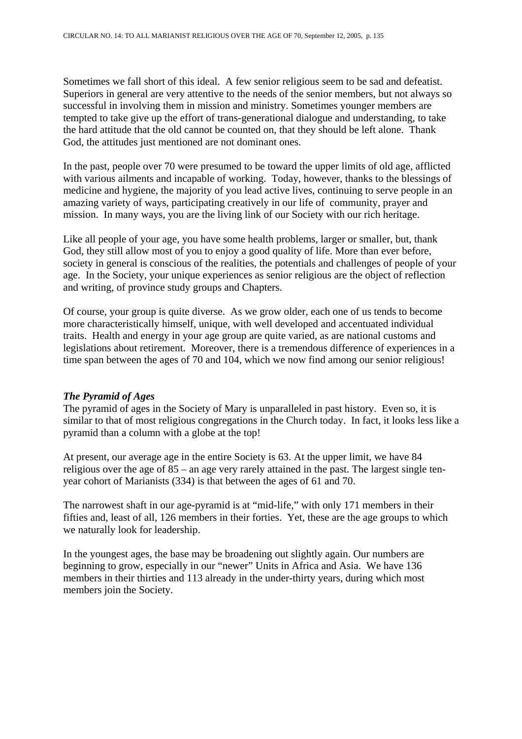Sometimes we fall short of this ideal. A few senior religious seem to be sad and defeatist. Superiors in general are very attentive to the needs of the senior members, but not always so successful in involving them in mission and ministry. Sometimes younger members are tempted to take give up the effort of trans-generational dialogue and understanding, to take the hard attitude that the old cannot be counted on, that they should be left alone. Thank God, the attitudes just mentioned are not dominant ones.

In the past, people over 70 were presumed to be toward the upper limits of old age, afflicted with various ailments and incapable of working. Today, however, thanks to the blessings of medicine and hygiene, the majority of you lead active lives, continuing to serve people in an amazing variety of ways, participating creatively in our life of community, prayer and mission. In many ways, you are the living link of our Society with our rich heritage.

Like all people of your age, you have some health problems, larger or smaller, but, thank God, they still allow most of you to enjoy a good quality of life. More than ever before, society in general is conscious of the realities, the potentials and challenges of people of your age. In the Society, your unique experiences as senior religious are the object of reflection and writing, of province study groups and Chapters.

Of course, your group is quite diverse. As we grow older, each one of us tends to become more characteristically himself, unique, with well developed and accentuated individual traits. Health and energy in your age group are quite varied, as are national customs and legislations about retirement. Moreover, there is a tremendous difference of experiences in a time span between the ages of 70 and 104, which we now find among our senior religious!

#### *The Pyramid of Ages*

The pyramid of ages in the Society of Mary is unparalleled in past history. Even so, it is similar to that of most religious congregations in the Church today. In fact, it looks less like a pyramid than a column with a globe at the top!

At present, our average age in the entire Society is 63. At the upper limit, we have 84 religious over the age of 85 – an age very rarely attained in the past. The largest single tenyear cohort of Marianists (334) is that between the ages of 61 and 70.

The narrowest shaft in our age-pyramid is at "mid-life," with only 171 members in their fifties and, least of all, 126 members in their forties. Yet, these are the age groups to which we naturally look for leadership.

In the youngest ages, the base may be broadening out slightly again. Our numbers are beginning to grow, especially in our "newer" Units in Africa and Asia. We have 136 members in their thirties and 113 already in the under-thirty years, during which most members join the Society.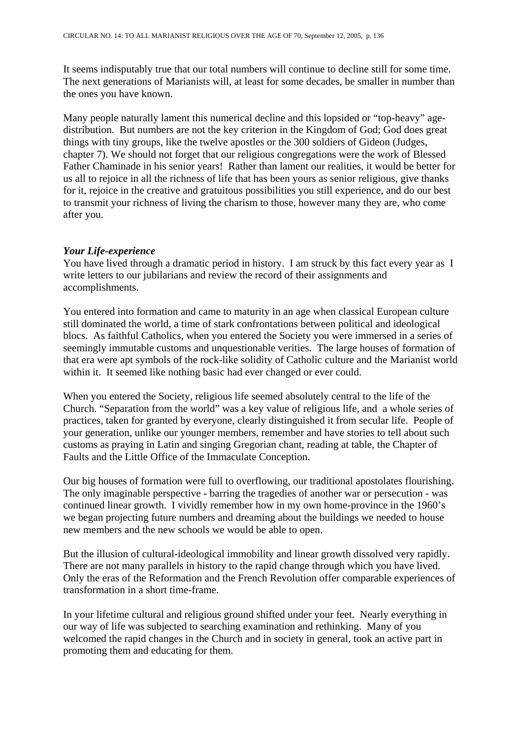It seems indisputably true that our total numbers will continue to decline still for some time. The next generations of Marianists will, at least for some decades, be smaller in number than the ones you have known.

Many people naturally lament this numerical decline and this lopsided or "top-heavy" agedistribution. But numbers are not the key criterion in the Kingdom of God; God does great things with tiny groups, like the twelve apostles or the 300 soldiers of Gideon (Judges, chapter 7). We should not forget that our religious congregations were the work of Blessed Father Chaminade in his senior years! Rather than lament our realities, it would be better for us all to rejoice in all the richness of life that has been yours as senior religious, give thanks for it, rejoice in the creative and gratuitous possibilities you still experience, and do our best to transmit your richness of living the charism to those, however many they are, who come after you.

#### *Your Life-experience*

You have lived through a dramatic period in history. I am struck by this fact every year as I write letters to our jubilarians and review the record of their assignments and accomplishments.

You entered into formation and came to maturity in an age when classical European culture still dominated the world, a time of stark confrontations between political and ideological blocs. As faithful Catholics, when you entered the Society you were immersed in a series of seemingly immutable customs and unquestionable verities. The large houses of formation of that era were apt symbols of the rock-like solidity of Catholic culture and the Marianist world within it. It seemed like nothing basic had ever changed or ever could.

When you entered the Society, religious life seemed absolutely central to the life of the Church. "Separation from the world" was a key value of religious life, and a whole series of practices, taken for granted by everyone, clearly distinguished it from secular life. People of your generation, unlike our younger members, remember and have stories to tell about such customs as praying in Latin and singing Gregorian chant, reading at table, the Chapter of Faults and the Little Office of the Immaculate Conception.

Our big houses of formation were full to overflowing, our traditional apostolates flourishing. The only imaginable perspective - barring the tragedies of another war or persecution - was continued linear growth. I vividly remember how in my own home-province in the 1960's we began projecting future numbers and dreaming about the buildings we needed to house new members and the new schools we would be able to open.

But the illusion of cultural-ideological immobility and linear growth dissolved very rapidly. There are not many parallels in history to the rapid change through which you have lived. Only the eras of the Reformation and the French Revolution offer comparable experiences of transformation in a short time-frame.

In your lifetime cultural and religious ground shifted under your feet. Nearly everything in our way of life was subjected to searching examination and rethinking. Many of you welcomed the rapid changes in the Church and in society in general, took an active part in promoting them and educating for them.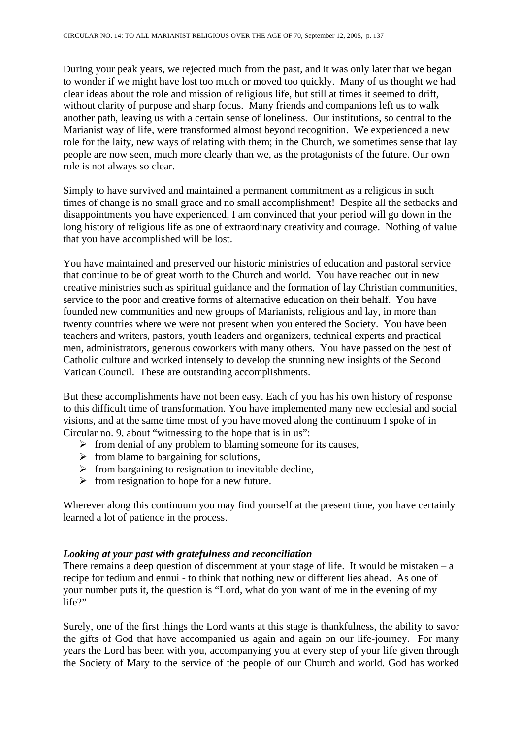During your peak years, we rejected much from the past, and it was only later that we began to wonder if we might have lost too much or moved too quickly. Many of us thought we had clear ideas about the role and mission of religious life, but still at times it seemed to drift, without clarity of purpose and sharp focus. Many friends and companions left us to walk another path, leaving us with a certain sense of loneliness. Our institutions, so central to the Marianist way of life, were transformed almost beyond recognition. We experienced a new role for the laity, new ways of relating with them; in the Church, we sometimes sense that lay people are now seen, much more clearly than we, as the protagonists of the future. Our own role is not always so clear.

Simply to have survived and maintained a permanent commitment as a religious in such times of change is no small grace and no small accomplishment! Despite all the setbacks and disappointments you have experienced, I am convinced that your period will go down in the long history of religious life as one of extraordinary creativity and courage. Nothing of value that you have accomplished will be lost.

You have maintained and preserved our historic ministries of education and pastoral service that continue to be of great worth to the Church and world. You have reached out in new creative ministries such as spiritual guidance and the formation of lay Christian communities, service to the poor and creative forms of alternative education on their behalf. You have founded new communities and new groups of Marianists, religious and lay, in more than twenty countries where we were not present when you entered the Society. You have been teachers and writers, pastors, youth leaders and organizers, technical experts and practical men, administrators, generous coworkers with many others. You have passed on the best of Catholic culture and worked intensely to develop the stunning new insights of the Second Vatican Council. These are outstanding accomplishments.

But these accomplishments have not been easy. Each of you has his own history of response to this difficult time of transformation. You have implemented many new ecclesial and social visions, and at the same time most of you have moved along the continuum I spoke of in Circular no. 9, about "witnessing to the hope that is in us":

- $\triangleright$  from denial of any problem to blaming someone for its causes,
- $\triangleright$  from blame to bargaining for solutions,
- $\triangleright$  from bargaining to resignation to inevitable decline,
- $\triangleright$  from resignation to hope for a new future.

Wherever along this continuum you may find yourself at the present time, you have certainly learned a lot of patience in the process.

#### *Looking at your past with gratefulness and reconciliation*

There remains a deep question of discernment at your stage of life. It would be mistaken – a recipe for tedium and ennui - to think that nothing new or different lies ahead. As one of your number puts it, the question is "Lord, what do you want of me in the evening of my life?"

Surely, one of the first things the Lord wants at this stage is thankfulness, the ability to savor the gifts of God that have accompanied us again and again on our life-journey. For many years the Lord has been with you, accompanying you at every step of your life given through the Society of Mary to the service of the people of our Church and world. God has worked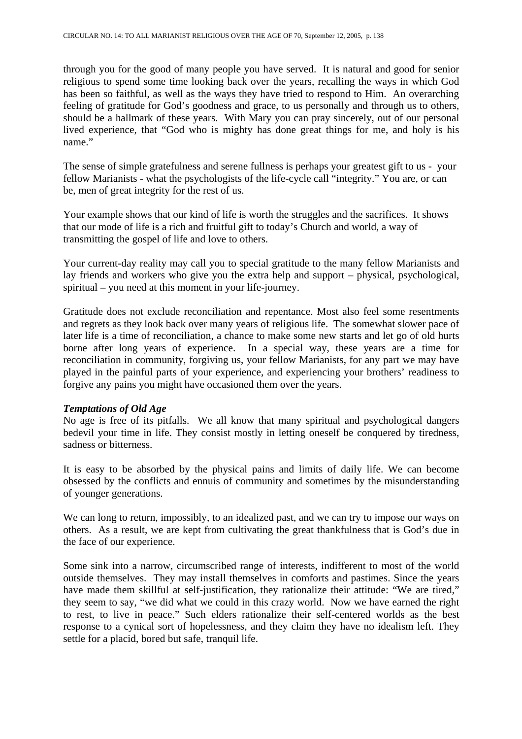through you for the good of many people you have served. It is natural and good for senior religious to spend some time looking back over the years, recalling the ways in which God has been so faithful, as well as the ways they have tried to respond to Him. An overarching feeling of gratitude for God's goodness and grace, to us personally and through us to others, should be a hallmark of these years. With Mary you can pray sincerely, out of our personal lived experience, that "God who is mighty has done great things for me, and holy is his name."

The sense of simple gratefulness and serene fullness is perhaps your greatest gift to us - your fellow Marianists - what the psychologists of the life-cycle call "integrity." You are, or can be, men of great integrity for the rest of us.

Your example shows that our kind of life is worth the struggles and the sacrifices. It shows that our mode of life is a rich and fruitful gift to today's Church and world, a way of transmitting the gospel of life and love to others.

Your current-day reality may call you to special gratitude to the many fellow Marianists and lay friends and workers who give you the extra help and support – physical, psychological, spiritual – you need at this moment in your life-journey.

Gratitude does not exclude reconciliation and repentance. Most also feel some resentments and regrets as they look back over many years of religious life. The somewhat slower pace of later life is a time of reconciliation, a chance to make some new starts and let go of old hurts borne after long years of experience. In a special way, these years are a time for reconciliation in community, forgiving us, your fellow Marianists, for any part we may have played in the painful parts of your experience, and experiencing your brothers' readiness to forgive any pains you might have occasioned them over the years.

#### *Temptations of Old Age*

No age is free of its pitfalls. We all know that many spiritual and psychological dangers bedevil your time in life. They consist mostly in letting oneself be conquered by tiredness, sadness or bitterness.

It is easy to be absorbed by the physical pains and limits of daily life. We can become obsessed by the conflicts and ennuis of community and sometimes by the misunderstanding of younger generations.

We can long to return, impossibly, to an idealized past, and we can try to impose our ways on others. As a result, we are kept from cultivating the great thankfulness that is God's due in the face of our experience.

Some sink into a narrow, circumscribed range of interests, indifferent to most of the world outside themselves. They may install themselves in comforts and pastimes. Since the years have made them skillful at self-justification, they rationalize their attitude: "We are tired," they seem to say, "we did what we could in this crazy world. Now we have earned the right to rest, to live in peace." Such elders rationalize their self-centered worlds as the best response to a cynical sort of hopelessness, and they claim they have no idealism left. They settle for a placid, bored but safe, tranquil life.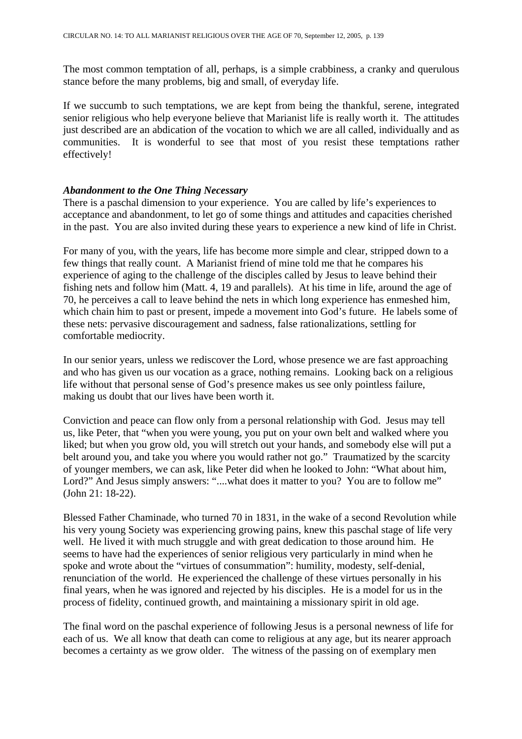The most common temptation of all, perhaps, is a simple crabbiness, a cranky and querulous stance before the many problems, big and small, of everyday life.

If we succumb to such temptations, we are kept from being the thankful, serene, integrated senior religious who help everyone believe that Marianist life is really worth it. The attitudes just described are an abdication of the vocation to which we are all called, individually and as communities. It is wonderful to see that most of you resist these temptations rather effectively!

#### *Abandonment to the One Thing Necessary*

There is a paschal dimension to your experience. You are called by life's experiences to acceptance and abandonment, to let go of some things and attitudes and capacities cherished in the past. You are also invited during these years to experience a new kind of life in Christ.

For many of you, with the years, life has become more simple and clear, stripped down to a few things that really count. A Marianist friend of mine told me that he compares his experience of aging to the challenge of the disciples called by Jesus to leave behind their fishing nets and follow him (Matt. 4, 19 and parallels). At his time in life, around the age of 70, he perceives a call to leave behind the nets in which long experience has enmeshed him, which chain him to past or present, impede a movement into God's future. He labels some of these nets: pervasive discouragement and sadness, false rationalizations, settling for comfortable mediocrity.

In our senior years, unless we rediscover the Lord, whose presence we are fast approaching and who has given us our vocation as a grace, nothing remains. Looking back on a religious life without that personal sense of God's presence makes us see only pointless failure, making us doubt that our lives have been worth it.

Conviction and peace can flow only from a personal relationship with God. Jesus may tell us, like Peter, that "when you were young, you put on your own belt and walked where you liked; but when you grow old, you will stretch out your hands, and somebody else will put a belt around you, and take you where you would rather not go." Traumatized by the scarcity of younger members, we can ask, like Peter did when he looked to John: "What about him, Lord?" And Jesus simply answers: "....what does it matter to you? You are to follow me" (John 21: 18-22).

Blessed Father Chaminade, who turned 70 in 1831, in the wake of a second Revolution while his very young Society was experiencing growing pains, knew this paschal stage of life very well. He lived it with much struggle and with great dedication to those around him. He seems to have had the experiences of senior religious very particularly in mind when he spoke and wrote about the "virtues of consummation": humility, modesty, self-denial, renunciation of the world. He experienced the challenge of these virtues personally in his final years, when he was ignored and rejected by his disciples. He is a model for us in the process of fidelity, continued growth, and maintaining a missionary spirit in old age.

The final word on the paschal experience of following Jesus is a personal newness of life for each of us. We all know that death can come to religious at any age, but its nearer approach becomes a certainty as we grow older. The witness of the passing on of exemplary men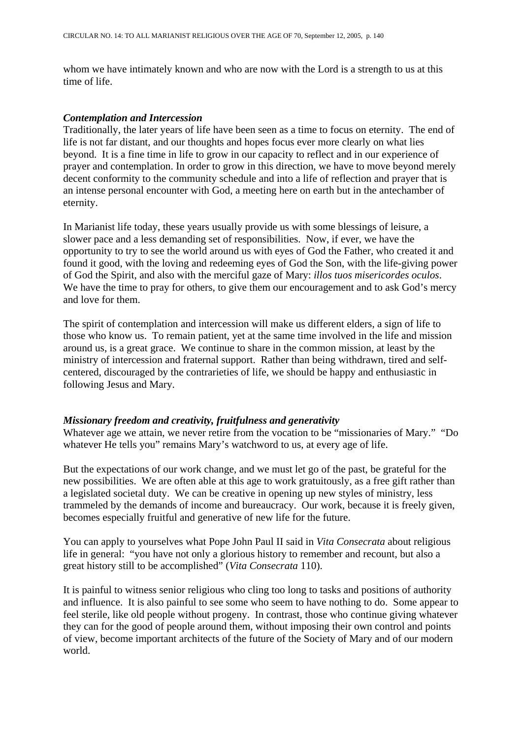whom we have intimately known and who are now with the Lord is a strength to us at this time of life.

#### *Contemplation and Intercession*

Traditionally, the later years of life have been seen as a time to focus on eternity. The end of life is not far distant, and our thoughts and hopes focus ever more clearly on what lies beyond. It is a fine time in life to grow in our capacity to reflect and in our experience of prayer and contemplation. In order to grow in this direction, we have to move beyond merely decent conformity to the community schedule and into a life of reflection and prayer that is an intense personal encounter with God, a meeting here on earth but in the antechamber of eternity.

In Marianist life today, these years usually provide us with some blessings of leisure, a slower pace and a less demanding set of responsibilities. Now, if ever, we have the opportunity to try to see the world around us with eyes of God the Father, who created it and found it good, with the loving and redeeming eyes of God the Son, with the life-giving power of God the Spirit, and also with the merciful gaze of Mary: *illos tuos misericordes oculos*. We have the time to pray for others, to give them our encouragement and to ask God's mercy and love for them.

The spirit of contemplation and intercession will make us different elders, a sign of life to those who know us. To remain patient, yet at the same time involved in the life and mission around us, is a great grace. We continue to share in the common mission, at least by the ministry of intercession and fraternal support. Rather than being withdrawn, tired and selfcentered, discouraged by the contrarieties of life, we should be happy and enthusiastic in following Jesus and Mary.

#### *Missionary freedom and creativity, fruitfulness and generativity*

Whatever age we attain, we never retire from the vocation to be "missionaries of Mary." "Do whatever He tells you" remains Mary's watchword to us, at every age of life.

But the expectations of our work change, and we must let go of the past, be grateful for the new possibilities. We are often able at this age to work gratuitously, as a free gift rather than a legislated societal duty. We can be creative in opening up new styles of ministry, less trammeled by the demands of income and bureaucracy. Our work, because it is freely given, becomes especially fruitful and generative of new life for the future.

You can apply to yourselves what Pope John Paul II said in *Vita Consecrata* about religious life in general: "you have not only a glorious history to remember and recount, but also a great history still to be accomplished" (*Vita Consecrata* 110).

It is painful to witness senior religious who cling too long to tasks and positions of authority and influence. It is also painful to see some who seem to have nothing to do. Some appear to feel sterile, like old people without progeny. In contrast, those who continue giving whatever they can for the good of people around them, without imposing their own control and points of view, become important architects of the future of the Society of Mary and of our modern world.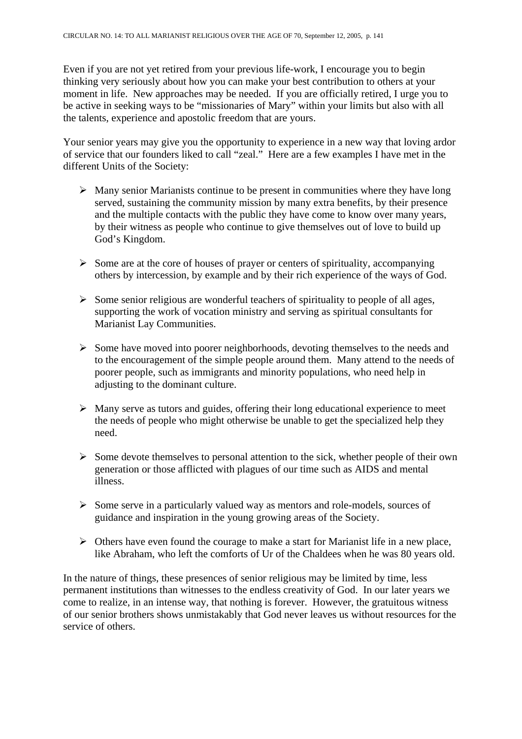Even if you are not yet retired from your previous life-work, I encourage you to begin thinking very seriously about how you can make your best contribution to others at your moment in life. New approaches may be needed. If you are officially retired, I urge you to be active in seeking ways to be "missionaries of Mary" within your limits but also with all the talents, experience and apostolic freedom that are yours.

Your senior years may give you the opportunity to experience in a new way that loving ardor of service that our founders liked to call "zeal." Here are a few examples I have met in the different Units of the Society:

- $\triangleright$  Many senior Marianists continue to be present in communities where they have long served, sustaining the community mission by many extra benefits, by their presence and the multiple contacts with the public they have come to know over many years, by their witness as people who continue to give themselves out of love to build up God's Kingdom.
- $\triangleright$  Some are at the core of houses of prayer or centers of spirituality, accompanying others by intercession, by example and by their rich experience of the ways of God.
- $\triangleright$  Some senior religious are wonderful teachers of spirituality to people of all ages, supporting the work of vocation ministry and serving as spiritual consultants for Marianist Lay Communities.
- $\triangleright$  Some have moved into poorer neighborhoods, devoting themselves to the needs and to the encouragement of the simple people around them. Many attend to the needs of poorer people, such as immigrants and minority populations, who need help in adjusting to the dominant culture.
- $\triangleright$  Many serve as tutors and guides, offering their long educational experience to meet the needs of people who might otherwise be unable to get the specialized help they need.
- $\triangleright$  Some devote themselves to personal attention to the sick, whether people of their own generation or those afflicted with plagues of our time such as AIDS and mental illness.
- $\triangleright$  Some serve in a particularly valued way as mentors and role-models, sources of guidance and inspiration in the young growing areas of the Society.
- $\triangleright$  Others have even found the courage to make a start for Marianist life in a new place, like Abraham, who left the comforts of Ur of the Chaldees when he was 80 years old.

In the nature of things, these presences of senior religious may be limited by time, less permanent institutions than witnesses to the endless creativity of God. In our later years we come to realize, in an intense way, that nothing is forever. However, the gratuitous witness of our senior brothers shows unmistakably that God never leaves us without resources for the service of others.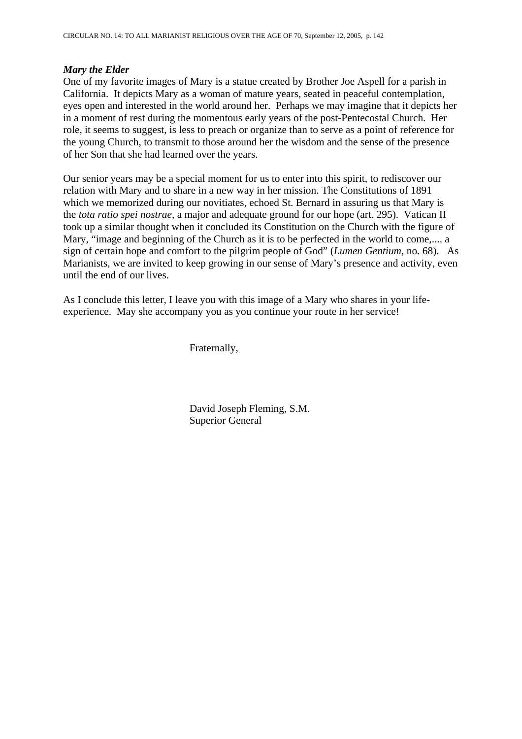#### *Mary the Elder*

One of my favorite images of Mary is a statue created by Brother Joe Aspell for a parish in California. It depicts Mary as a woman of mature years, seated in peaceful contemplation, eyes open and interested in the world around her. Perhaps we may imagine that it depicts her in a moment of rest during the momentous early years of the post-Pentecostal Church. Her role, it seems to suggest, is less to preach or organize than to serve as a point of reference for the young Church, to transmit to those around her the wisdom and the sense of the presence of her Son that she had learned over the years.

Our senior years may be a special moment for us to enter into this spirit, to rediscover our relation with Mary and to share in a new way in her mission. The Constitutions of 1891 which we memorized during our novitiates, echoed St. Bernard in assuring us that Mary is the *tota ratio spei nostrae,* a major and adequate ground for our hope (art. 295). Vatican II took up a similar thought when it concluded its Constitution on the Church with the figure of Mary, "image and beginning of the Church as it is to be perfected in the world to come,.... a sign of certain hope and comfort to the pilgrim people of God" (*Lumen Gentium*, no. 68). As Marianists, we are invited to keep growing in our sense of Mary's presence and activity, even until the end of our lives.

As I conclude this letter, I leave you with this image of a Mary who shares in your lifeexperience. May she accompany you as you continue your route in her service!

Fraternally,

 David Joseph Fleming, S.M. Superior General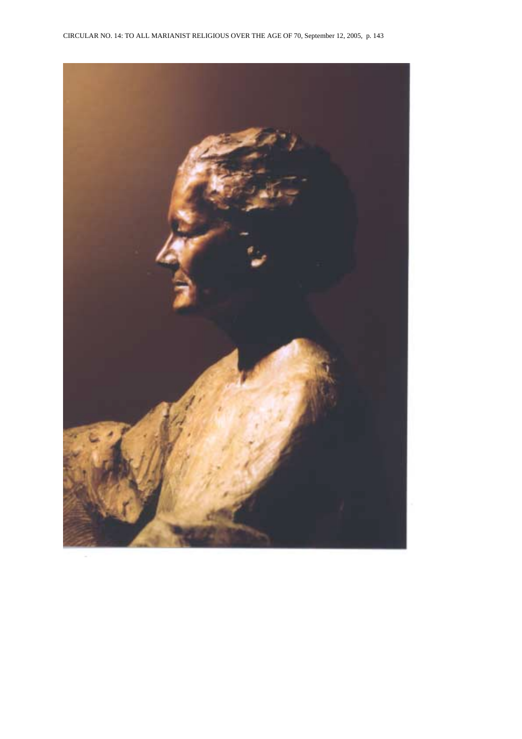